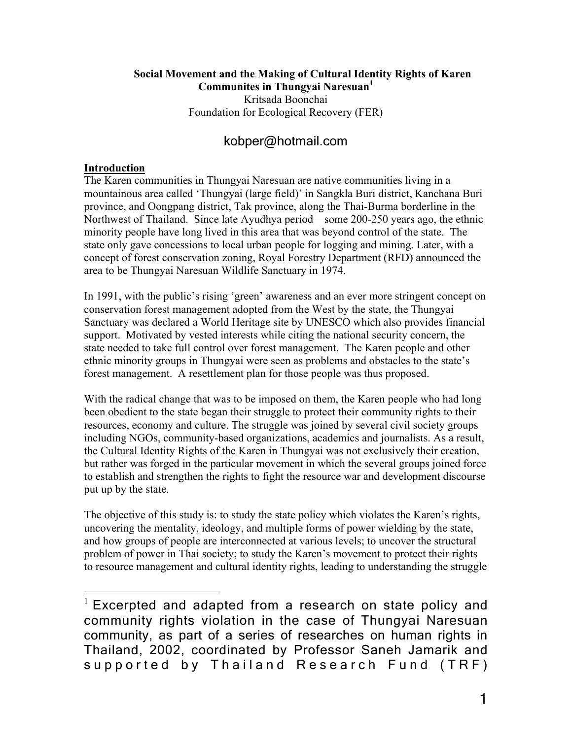#### **Social Movement and the Making of Cultural Identity Rights of Karen Communites in Thungyai Naresuan**

Kritsada Boonchai Foundation for Ecological Recovery (FER)

# kobper@hotmail.com

### **Introduction**

The Karen communities in Thungyai Naresuan are native communities living in a mountainous area called 'Thungyai (large field)' in Sangkla Buri district, Kanchana Buri province, and Oongpang district, Tak province, along the Thai-Burma borderline in the Northwest of Thailand. Since late Ayudhya period—some 200-250 years ago, the ethnic minority people have long lived in this area that was beyond control of the state. The state only gave concessions to local urban people for logging and mining. Later, with a concept of forest conservation zoning, Royal Forestry Department (RFD) announced the area to be Thungyai Naresuan Wildlife Sanctuary in 1974.

In 1991, with the public's rising 'green' awareness and an ever more stringent concept on conservation forest management adopted from the West by the state, the Thungyai Sanctuary was declared a World Heritage site by UNESCO which also provides financial support. Motivated by vested interests while citing the national security concern, the state needed to take full control over forest management. The Karen people and other ethnic minority groups in Thungyai were seen as problems and obstacles to the state's forest management. A resettlement plan for those people was thus proposed.

With the radical change that was to be imposed on them, the Karen people who had long been obedient to the state began their struggle to protect their community rights to their resources, economy and culture. The struggle was joined by several civil society groups including NGOs, community-based organizations, academics and journalists. As a result, the Cultural Identity Rights of the Karen in Thungyai was not exclusively their creation, but rather was forged in the particular movement in which the several groups joined force to establish and strengthen the rights to fight the resource war and development discourse put up by the state.

The objective of this study is: to study the state policy which violates the Karen's rights, uncovering the mentality, ideology, and multiple forms of power wielding by the state, and how groups of people are interconnected at various levels; to uncover the structural problem of power in Thai society; to study the Karen's movement to protect their rights to resource management and cultural identity rights, leading to understanding the struggle

 $1$  Excerpted and adapted from a research on state policy and community rights violation in the case of Thungyai Naresuan community, as part of a series of researches on human rights in Thailand, 2002, coordinated by Professor Saneh Jamarik and supported by Thailand Research Fund (TRF)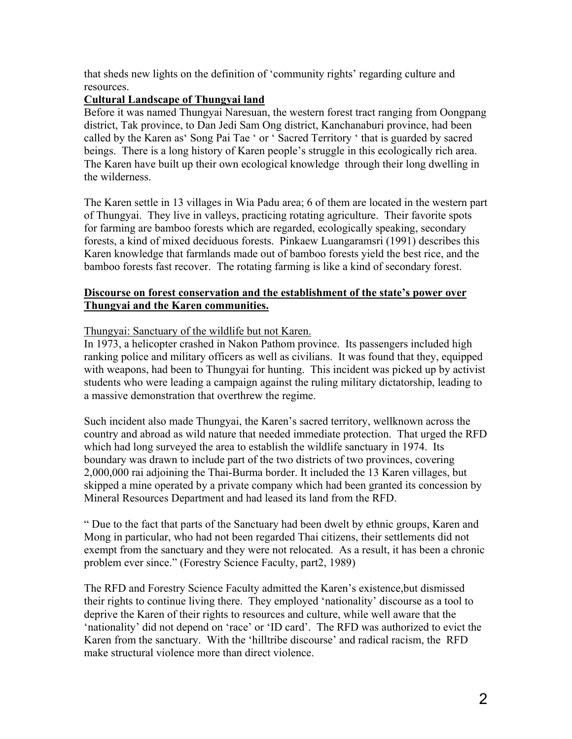that sheds new lights on the definition of 'community rights' regarding culture and resources.

# **Cultural Landscape of Thungyai land**

Before it was named Thungyai Naresuan, the western forest tract ranging from Oongpang district, Tak province, to Dan Jedi Sam Ong district, Kanchanaburi province, had been called by the Karen as' Song Pai Tae ' or ' Sacred Territory ' that is guarded by sacred beings. There is a long history of Karen people's struggle in this ecologically rich area. The Karen have built up their own ecological knowledge through their long dwelling in the wilderness.

The Karen settle in 13 villages in Wia Padu area; 6 of them are located in the western part of Thungyai. They live in valleys, practicing rotating agriculture. Their favorite spots for farming are bamboo forests which are regarded, ecologically speaking, secondary forests, a kind of mixed deciduous forests. Pinkaew Luangaramsri (1991) describes this Karen knowledge that farmlands made out of bamboo forests yield the best rice, and the bamboo forests fast recover. The rotating farming is like a kind of secondary forest.

# **Discourse on forest conservation and the establishment of the state's power over Thungyai and the Karen communities.**

### Thungyai: Sanctuary of the wildlife but not Karen.

In 1973, a helicopter crashed in Nakon Pathom province. Its passengers included high ranking police and military officers as well as civilians. It was found that they, equipped with weapons, had been to Thungyai for hunting. This incident was picked up by activist students who were leading a campaign against the ruling military dictatorship, leading to a massive demonstration that overthrew the regime.

Such incident also made Thungyai, the Karen's sacred territory, wellknown across the country and abroad as wild nature that needed immediate protection. That urged the RFD which had long surveyed the area to establish the wildlife sanctuary in 1974. Its boundary was drawn to include part of the two districts of two provinces, covering 2,000,000 rai adjoining the Thai-Burma border. It included the 13 Karen villages, but skipped a mine operated by a private company which had been granted its concession by Mineral Resources Department and had leased its land from the RFD.

" Due to the fact that parts of the Sanctuary had been dwelt by ethnic groups, Karen and Mong in particular, who had not been regarded Thai citizens, their settlements did not exempt from the sanctuary and they were not relocated. As a result, it has been a chronic problem ever since." (Forestry Science Faculty, part2, 1989)

The RFD and Forestry Science Faculty admitted the Karen's existence,but dismissed their rights to continue living there. They employed 'nationality' discourse as a tool to deprive the Karen of their rights to resources and culture, while well aware that the 'nationality' did not depend on 'race' or 'ID card'. The RFD was authorized to evict the Karen from the sanctuary. With the 'hilltribe discourse' and radical racism, the RFD make structural violence more than direct violence.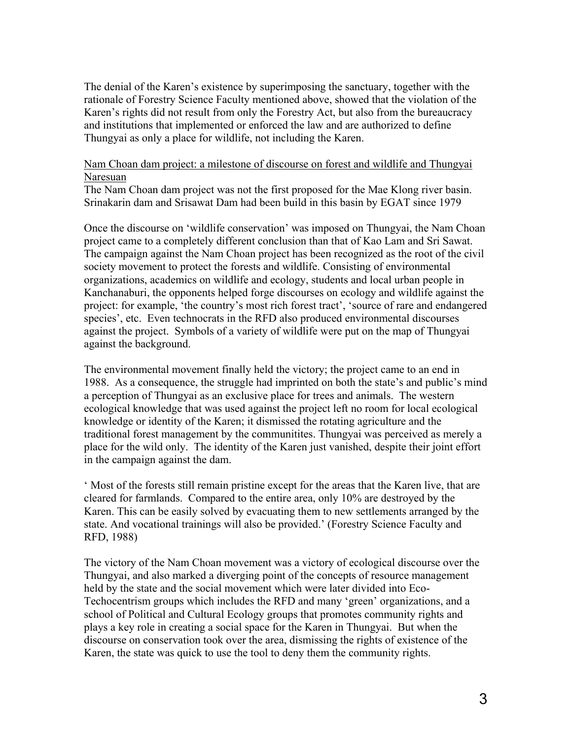The denial of the Karen's existence by superimposing the sanctuary, together with the rationale of Forestry Science Faculty mentioned above, showed that the violation of the Karen's rights did not result from only the Forestry Act, but also from the bureaucracy and institutions that implemented or enforced the law and are authorized to define Thungyai as only a place for wildlife, not including the Karen.

#### Nam Choan dam project: a milestone of discourse on forest and wildlife and Thungyai Naresuan

The Nam Choan dam project was not the first proposed for the Mae Klong river basin. Srinakarin dam and Srisawat Dam had been build in this basin by EGAT since 1979

Once the discourse on 'wildlife conservation' was imposed on Thungyai, the Nam Choan project came to a completely different conclusion than that of Kao Lam and Sri Sawat. The campaign against the Nam Choan project has been recognized as the root of the civil society movement to protect the forests and wildlife. Consisting of environmental organizations, academics on wildlife and ecology, students and local urban people in Kanchanaburi, the opponents helped forge discourses on ecology and wildlife against the project: for example, 'the country's most rich forest tract', 'source of rare and endangered species', etc. Even technocrats in the RFD also produced environmental discourses against the project. Symbols of a variety of wildlife were put on the map of Thungyai against the background.

The environmental movement finally held the victory; the project came to an end in 1988. As a consequence, the struggle had imprinted on both the state's and public's mind a perception of Thungyai as an exclusive place for trees and animals. The western ecological knowledge that was used against the project left no room for local ecological knowledge or identity of the Karen; it dismissed the rotating agriculture and the traditional forest management by the communitites. Thungyai was perceived as merely a place for the wild only. The identity of the Karen just vanished, despite their joint effort in the campaign against the dam.

' Most of the forests still remain pristine except for the areas that the Karen live, that are cleared for farmlands. Compared to the entire area, only 10% are destroyed by the Karen. This can be easily solved by evacuating them to new settlements arranged by the state. And vocational trainings will also be provided.' (Forestry Science Faculty and RFD, 1988)

The victory of the Nam Choan movement was a victory of ecological discourse over the Thungyai, and also marked a diverging point of the concepts of resource management held by the state and the social movement which were later divided into Eco-Techocentrism groups which includes the RFD and many 'green' organizations, and a school of Political and Cultural Ecology groups that promotes community rights and plays a key role in creating a social space for the Karen in Thungyai. But when the discourse on conservation took over the area, dismissing the rights of existence of the Karen, the state was quick to use the tool to deny them the community rights.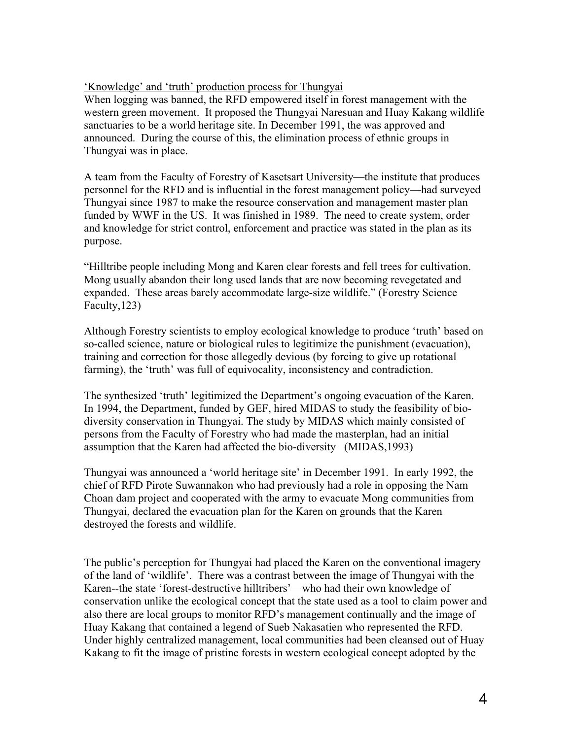'Knowledge' and 'truth' production process for Thungyai

When logging was banned, the RFD empowered itself in forest management with the western green movement. It proposed the Thungyai Naresuan and Huay Kakang wildlife sanctuaries to be a world heritage site. In December 1991, the was approved and announced. During the course of this, the elimination process of ethnic groups in Thungyai was in place.

A team from the Faculty of Forestry of Kasetsart University—the institute that produces personnel for the RFD and is influential in the forest management policy—had surveyed Thungyai since 1987 to make the resource conservation and management master plan funded by WWF in the US. It was finished in 1989. The need to create system, order and knowledge for strict control, enforcement and practice was stated in the plan as its purpose.

"Hilltribe people including Mong and Karen clear forests and fell trees for cultivation. Mong usually abandon their long used lands that are now becoming revegetated and expanded. These areas barely accommodate large-size wildlife." (Forestry Science Faculty,123)

Although Forestry scientists to employ ecological knowledge to produce 'truth' based on so-called science, nature or biological rules to legitimize the punishment (evacuation), training and correction for those allegedly devious (by forcing to give up rotational farming), the 'truth' was full of equivocality, inconsistency and contradiction.

The synthesized 'truth' legitimized the Department's ongoing evacuation of the Karen. In 1994, the Department, funded by GEF, hired MIDAS to study the feasibility of biodiversity conservation in Thungyai. The study by MIDAS which mainly consisted of persons from the Faculty of Forestry who had made the masterplan, had an initial assumption that the Karen had affected the bio-diversity (MIDAS,1993)

Thungyai was announced a 'world heritage site' in December 1991. In early 1992, the chief of RFD Pirote Suwannakon who had previously had a role in opposing the Nam Choan dam project and cooperated with the army to evacuate Mong communities from Thungyai, declared the evacuation plan for the Karen on grounds that the Karen destroyed the forests and wildlife.

The public's perception for Thungyai had placed the Karen on the conventional imagery of the land of 'wildlife'. There was a contrast between the image of Thungyai with the Karen--the state 'forest-destructive hilltribers'—who had their own knowledge of conservation unlike the ecological concept that the state used as a tool to claim power and also there are local groups to monitor RFD's management continually and the image of Huay Kakang that contained a legend of Sueb Nakasatien who represented the RFD. Under highly centralized management, local communities had been cleansed out of Huay Kakang to fit the image of pristine forests in western ecological concept adopted by the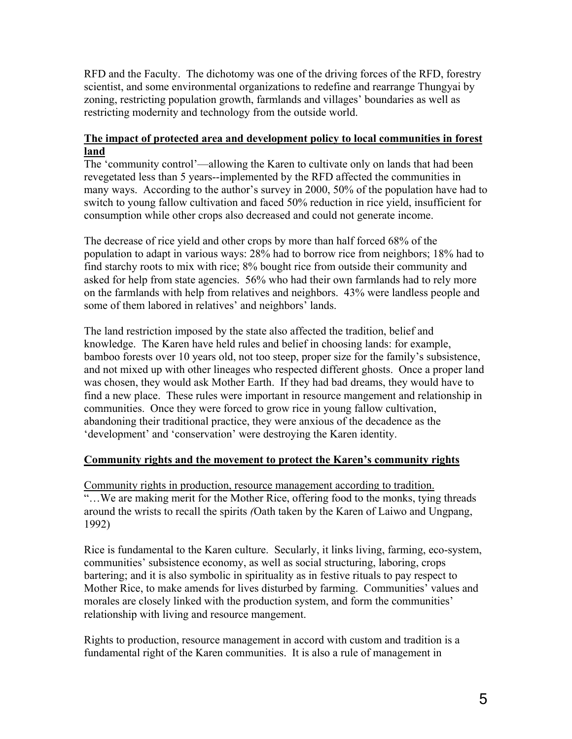RFD and the Faculty. The dichotomy was one of the driving forces of the RFD, forestry scientist, and some environmental organizations to redefine and rearrange Thungyai by zoning, restricting population growth, farmlands and villages' boundaries as well as restricting modernity and technology from the outside world.

# **The impact of protected area and development policy to local communities in forest land**

The 'community control'—allowing the Karen to cultivate only on lands that had been revegetated less than 5 years--implemented by the RFD affected the communities in many ways. According to the author's survey in 2000, 50% of the population have had to switch to young fallow cultivation and faced 50% reduction in rice yield, insufficient for consumption while other crops also decreased and could not generate income.

The decrease of rice yield and other crops by more than half forced 68% of the population to adapt in various ways: 28% had to borrow rice from neighbors; 18% had to find starchy roots to mix with rice; 8% bought rice from outside their community and asked for help from state agencies. 56% who had their own farmlands had to rely more on the farmlands with help from relatives and neighbors. 43% were landless people and some of them labored in relatives' and neighbors' lands.

The land restriction imposed by the state also affected the tradition, belief and knowledge. The Karen have held rules and belief in choosing lands: for example, bamboo forests over 10 years old, not too steep, proper size for the family's subsistence, and not mixed up with other lineages who respected different ghosts. Once a proper land was chosen, they would ask Mother Earth. If they had bad dreams, they would have to find a new place. These rules were important in resource mangement and relationship in communities. Once they were forced to grow rice in young fallow cultivation, abandoning their traditional practice, they were anxious of the decadence as the 'development' and 'conservation' were destroying the Karen identity.

# **Community rights and the movement to protect the Karen's community rights**

Community rights in production, resource management according to tradition. "…We are making merit for the Mother Rice, offering food to the monks, tying threads around the wrists to recall the spirits *(*Oath taken by the Karen of Laiwo and Ungpang, 1992)

Rice is fundamental to the Karen culture. Secularly, it links living, farming, eco-system, communities' subsistence economy, as well as social structuring, laboring, crops bartering; and it is also symbolic in spirituality as in festive rituals to pay respect to Mother Rice, to make amends for lives disturbed by farming. Communities' values and morales are closely linked with the production system, and form the communities' relationship with living and resource mangement.

Rights to production, resource management in accord with custom and tradition is a fundamental right of the Karen communities. It is also a rule of management in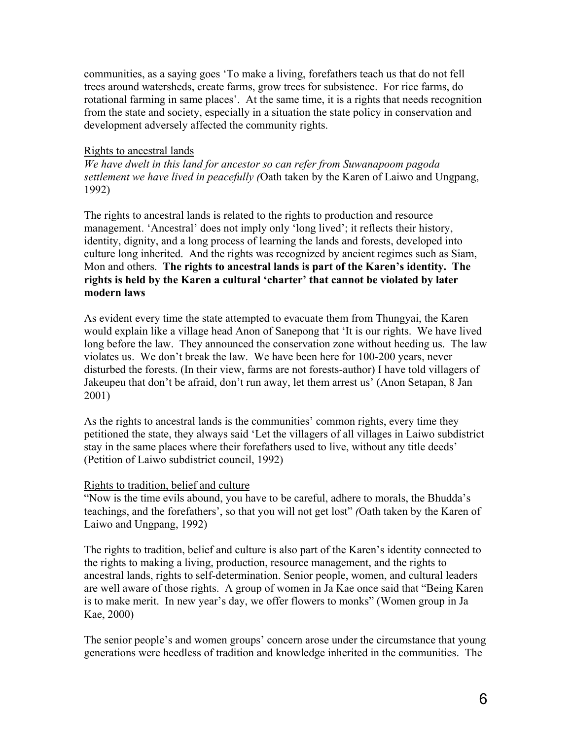communities, as a saying goes 'To make a living, forefathers teach us that do not fell trees around watersheds, create farms, grow trees for subsistence. For rice farms, do rotational farming in same places'. At the same time, it is a rights that needs recognition from the state and society, especially in a situation the state policy in conservation and development adversely affected the community rights.

#### Rights to ancestral lands

*We have dwelt in this land for ancestor so can refer from Suwanapoom pagoda settlement we have lived in peacefully (*Oath taken by the Karen of Laiwo and Ungpang, 1992)

The rights to ancestral lands is related to the rights to production and resource management. 'Ancestral' does not imply only 'long lived'; it reflects their history, identity, dignity, and a long process of learning the lands and forests, developed into culture long inherited. And the rights was recognized by ancient regimes such as Siam, Mon and others. **The rights to ancestral lands is part of the Karen's identity. The rights is held by the Karen a cultural 'charter' that cannot be violated by later modern laws**

As evident every time the state attempted to evacuate them from Thungyai, the Karen would explain like a village head Anon of Sanepong that 'It is our rights. We have lived long before the law. They announced the conservation zone without heeding us. The law violates us. We don't break the law. We have been here for 100-200 years, never disturbed the forests. (In their view, farms are not forests-author) I have told villagers of Jakeupeu that don't be afraid, don't run away, let them arrest us' (Anon Setapan, 8 Jan 2001)

As the rights to ancestral lands is the communities' common rights, every time they petitioned the state, they always said 'Let the villagers of all villages in Laiwo subdistrict stay in the same places where their forefathers used to live, without any title deeds' (Petition of Laiwo subdistrict council, 1992)

#### Rights to tradition, belief and culture

"Now is the time evils abound, you have to be careful, adhere to morals, the Bhudda's teachings, and the forefathers', so that you will not get lost" *(*Oath taken by the Karen of Laiwo and Ungpang, 1992)

The rights to tradition, belief and culture is also part of the Karen's identity connected to the rights to making a living, production, resource management, and the rights to ancestral lands, rights to self-determination. Senior people, women, and cultural leaders are well aware of those rights. A group of women in Ja Kae once said that "Being Karen is to make merit. In new year's day, we offer flowers to monks" (Women group in Ja Kae, 2000)

The senior people's and women groups' concern arose under the circumstance that young generations were heedless of tradition and knowledge inherited in the communities. The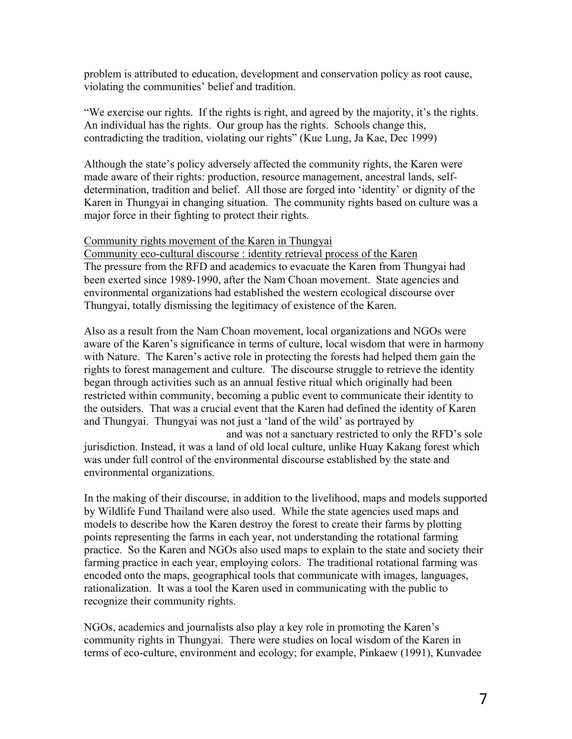problem is attributed to education, development and conservation policy as root cause, violating the communities' belief and tradition.

"We exercise our rights. If the rights is right, and agreed by the majority, it's the rights. An individual has the rights. Our group has the rights. Schools change this, contradicting the tradition, violating our rights" (Kue Lung, Ja Kae, Dec 1999)

Although the state's policy adversely affected the community rights, the Karen were made aware of their rights: production, resource management, ancestral lands, selfdetermination, tradition and belief. All those are forged into 'identity' or dignity of the Karen in Thungyai in changing situation. The community rights based on culture was a major force in their fighting to protect their rights.

#### Community rights movement of the Karen in Thungyai

Community eco-cultural discourse : identity retrieval process of the Karen The pressure from the RFD and academics to evacuate the Karen from Thungyai had been exerted since 1989-1990, after the Nam Choan movement. State agencies and environmental organizations had established the western ecological discourse over Thungyai, totally dismissing the legitimacy of existence of the Karen.

Also as a result from the Nam Choan movement, local organizations and NGOs were aware of the Karen's significance in terms of culture, local wisdom that were in harmony with Nature. The Karen's active role in protecting the forests had helped them gain the rights to forest management and culture. The discourse struggle to retrieve the identity began through activities such as an annual festive ritual which originally had been restricted within community, becoming a public event to communicate their identity to the outsiders. That was a crucial event that the Karen had defined the identity of Karen and Thungyai. Thungyai was not just a 'land of the wild' as portrayed by

 and was not a sanctuary restricted to only the RFD's sole jurisdiction. Instead, it was a land of old local culture, unlike Huay Kakang forest which was under full control of the environmental discourse established by the state and environmental organizations.

In the making of their discourse, in addition to the livelihood, maps and models supported by Wildlife Fund Thailand were also used. While the state agencies used maps and models to describe how the Karen destroy the forest to create their farms by plotting points representing the farms in each year, not understanding the rotational farming practice. So the Karen and NGOs also used maps to explain to the state and society their farming practice in each year, employing colors. The traditional rotational farming was encoded onto the maps, geographical tools that communicate with images, languages, rationalization. It was a tool the Karen used in communicating with the public to recognize their community rights.

NGOs, academics and journalists also play a key role in promoting the Karen's community rights in Thungyai. There were studies on local wisdom of the Karen in terms of eco-culture, environment and ecology; for example, Pinkaew (1991), Kunvadee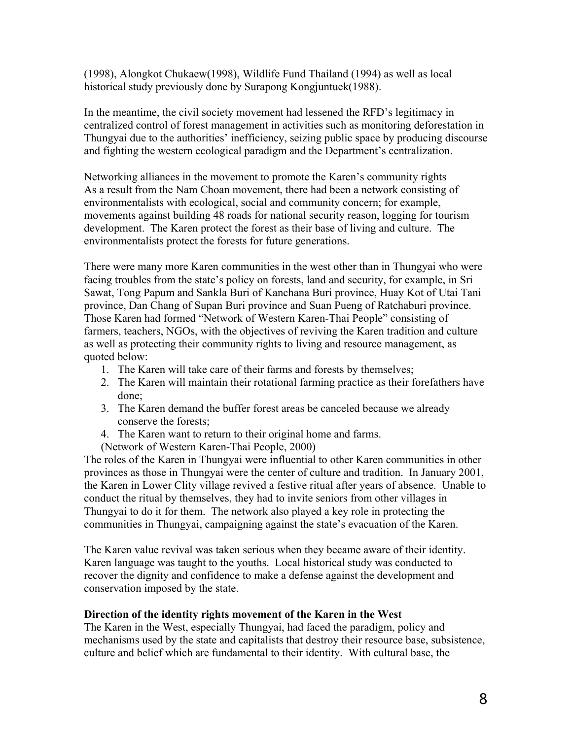(1998), Alongkot Chukaew(1998), Wildlife Fund Thailand (1994) as well as local historical study previously done by Surapong Kongjuntuek(1988).

In the meantime, the civil society movement had lessened the RFD's legitimacy in centralized control of forest management in activities such as monitoring deforestation in Thungyai due to the authorities' inefficiency, seizing public space by producing discourse and fighting the western ecological paradigm and the Department's centralization.

Networking alliances in the movement to promote the Karen's community rights As a result from the Nam Choan movement, there had been a network consisting of environmentalists with ecological, social and community concern; for example, movements against building 48 roads for national security reason, logging for tourism development. The Karen protect the forest as their base of living and culture. The environmentalists protect the forests for future generations.

There were many more Karen communities in the west other than in Thungyai who were facing troubles from the state's policy on forests, land and security, for example, in Sri Sawat, Tong Papum and Sankla Buri of Kanchana Buri province, Huay Kot of Utai Tani province, Dan Chang of Supan Buri province and Suan Pueng of Ratchaburi province. Those Karen had formed "Network of Western Karen-Thai People" consisting of farmers, teachers, NGOs, with the objectives of reviving the Karen tradition and culture as well as protecting their community rights to living and resource management, as quoted below:

- 1. The Karen will take care of their farms and forests by themselves;
- 2. The Karen will maintain their rotational farming practice as their forefathers have done;
- 3. The Karen demand the buffer forest areas be canceled because we already conserve the forests;
- 4. The Karen want to return to their original home and farms.
- (Network of Western Karen-Thai People, 2000)

The roles of the Karen in Thungyai were influential to other Karen communities in other provinces as those in Thungyai were the center of culture and tradition. In January 2001, the Karen in Lower Clity village revived a festive ritual after years of absence. Unable to conduct the ritual by themselves, they had to invite seniors from other villages in Thungyai to do it for them. The network also played a key role in protecting the communities in Thungyai, campaigning against the state's evacuation of the Karen.

The Karen value revival was taken serious when they became aware of their identity. Karen language was taught to the youths. Local historical study was conducted to recover the dignity and confidence to make a defense against the development and conservation imposed by the state.

#### **Direction of the identity rights movement of the Karen in the West**

The Karen in the West, especially Thungyai, had faced the paradigm, policy and mechanisms used by the state and capitalists that destroy their resource base, subsistence, culture and belief which are fundamental to their identity. With cultural base, the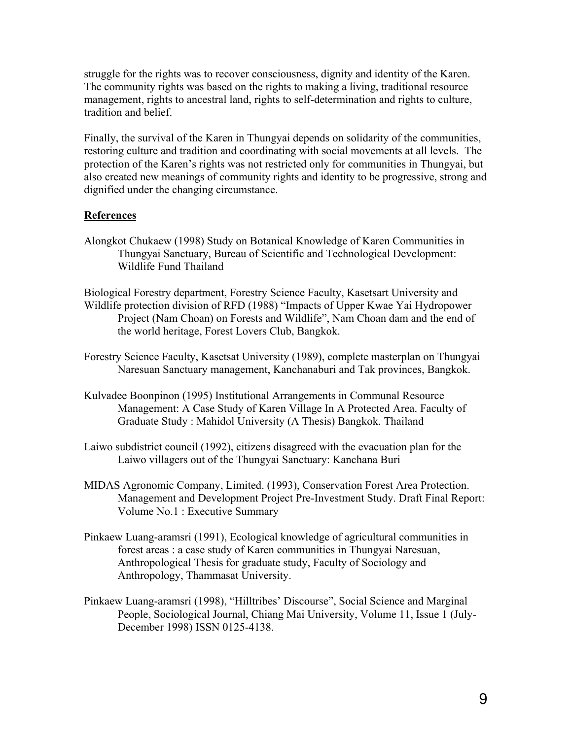struggle for the rights was to recover consciousness, dignity and identity of the Karen. The community rights was based on the rights to making a living, traditional resource management, rights to ancestral land, rights to self-determination and rights to culture, tradition and belief.

Finally, the survival of the Karen in Thungyai depends on solidarity of the communities, restoring culture and tradition and coordinating with social movements at all levels. The protection of the Karen's rights was not restricted only for communities in Thungyai, but also created new meanings of community rights and identity to be progressive, strong and dignified under the changing circumstance.

### **References**

- Alongkot Chukaew (1998) Study on Botanical Knowledge of Karen Communities in Thungyai Sanctuary, Bureau of Scientific and Technological Development: Wildlife Fund Thailand
- Biological Forestry department, Forestry Science Faculty, Kasetsart University and Wildlife protection division of RFD (1988) "Impacts of Upper Kwae Yai Hydropower Project (Nam Choan) on Forests and Wildlife", Nam Choan dam and the end of the world heritage, Forest Lovers Club, Bangkok.
- Forestry Science Faculty, Kasetsat University (1989), complete masterplan on Thungyai Naresuan Sanctuary management, Kanchanaburi and Tak provinces, Bangkok.
- Kulvadee Boonpinon (1995) Institutional Arrangements in Communal Resource Management: A Case Study of Karen Village In A Protected Area. Faculty of Graduate Study : Mahidol University (A Thesis) Bangkok. Thailand
- Laiwo subdistrict council (1992), citizens disagreed with the evacuation plan for the Laiwo villagers out of the Thungyai Sanctuary: Kanchana Buri
- MIDAS Agronomic Company, Limited. (1993), Conservation Forest Area Protection. Management and Development Project Pre-Investment Study. Draft Final Report: Volume No.1 : Executive Summary
- Pinkaew Luang-aramsri (1991), Ecological knowledge of agricultural communities in forest areas : a case study of Karen communities in Thungyai Naresuan, Anthropological Thesis for graduate study, Faculty of Sociology and Anthropology, Thammasat University.
- Pinkaew Luang-aramsri (1998), "Hilltribes' Discourse", Social Science and Marginal People, Sociological Journal, Chiang Mai University, Volume 11, Issue 1 (July-December 1998) ISSN 0125-4138.